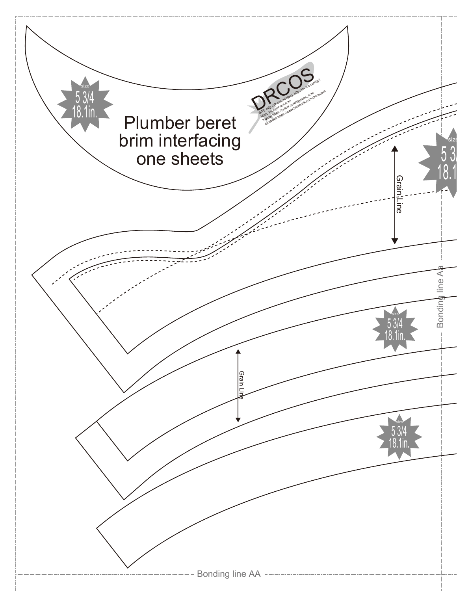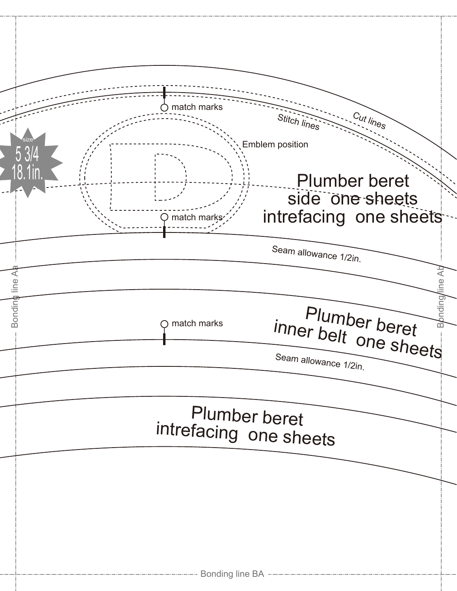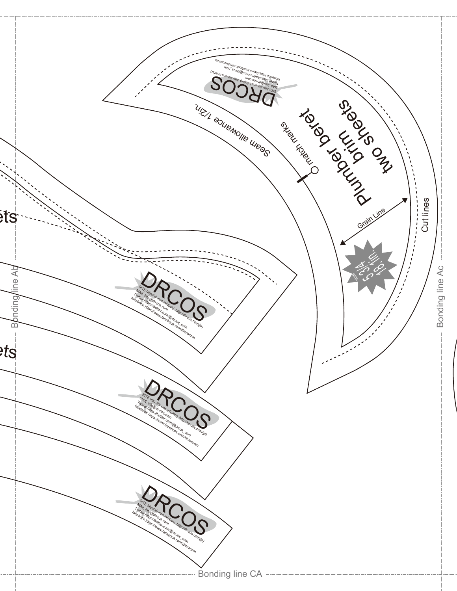